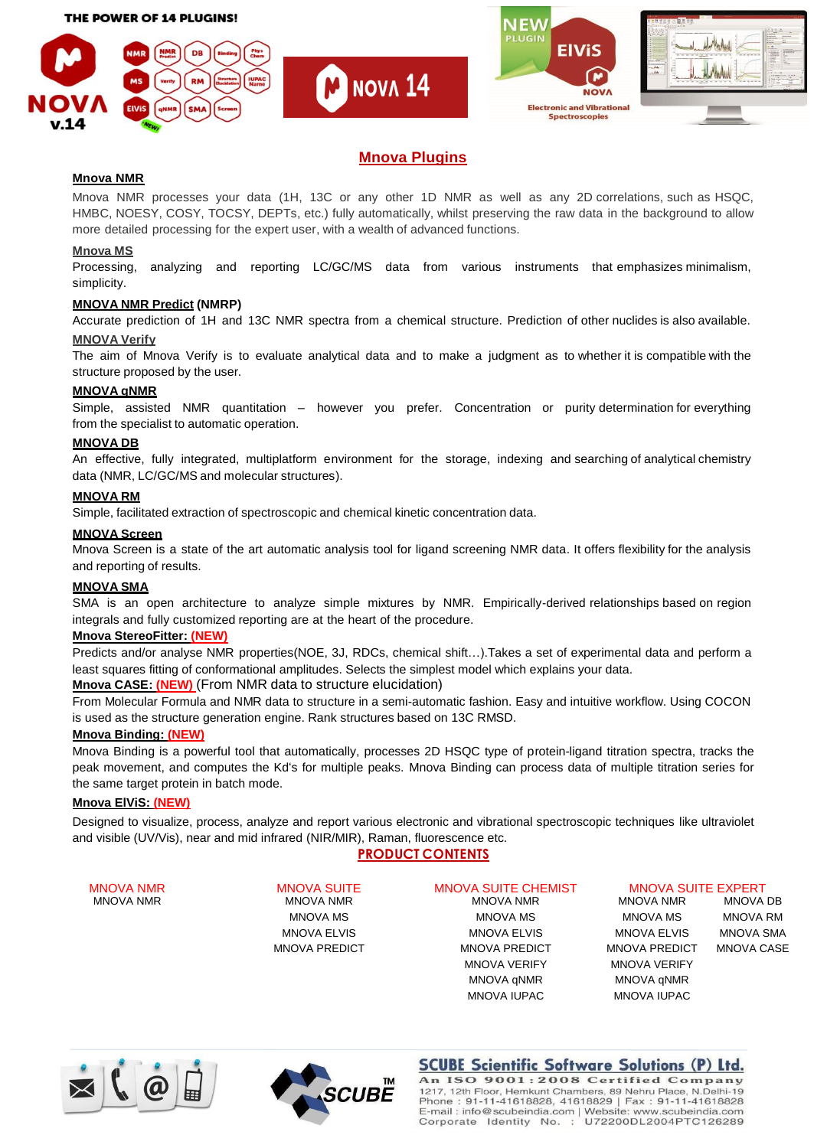







# **Mnova Plugins**

**NOVA 14** 

# **Mnova NMR**

Mnova NMR processes your data (1H, 13C or any other 1D NMR as well as any 2D correlations, such as HSQC, HMBC, NOESY, COSY, TOCSY, DEPTs, etc.) fully automatically, whilst preserving the raw data in the background to allow more detailed processing for the expert user, with a wealth of advanced functions.

# **Mnova MS**

Processing, analyzing and reporting LC/GC/MS data from various instruments that emphasizes minimalism, simplicity.

# **MNOVA NMR Predict (NMRP)**

Accurate prediction of 1H and 13C NMR spectra from a chemical structure. Prediction of other nuclides is also available.

# **MNOVA Verify**

The aim of Mnova Verify is to evaluate analytical data and to make a judgment as to whether it is compatible with the structure proposed by the user.

# **MNOVA qNMR**

Simple, assisted NMR quantitation – however you prefer. Concentration or purity determination for everything from the specialist to automatic operation.

#### **MNOVA DB**

An effective, fully integrated, multiplatform environment for the storage, indexing and searching of analytical chemistry data (NMR, LC/GC/MS and molecular structures).

#### **MNOVA RM**

Simple, facilitated extraction of spectroscopic and chemical kinetic concentration data.

#### **MNOVA Screen**

Mnova Screen is a state of the art automatic analysis tool for ligand screening NMR data. It offers flexibility for the analysis and reporting of results.

# **MNOVA SMA**

SMA is an open architecture to analyze simple mixtures by NMR. Empirically-derived relationships based on region integrals and fully customized reporting are at the heart of the procedure.

# **Mnova StereoFitter: (NEW)**

Predicts and/or analyse NMR properties(NOE, 3J, RDCs, chemical shift…).Takes a set of experimental data and perform a least squares fitting of conformational amplitudes. Selects the simplest model which explains your data.

#### **Mnova CASE: (NEW)** (From NMR data to structure elucidation)

From Molecular Formula and NMR data to structure in a semi-automatic fashion. Easy and intuitive workflow. Using COCON is used as the structure generation engine. Rank structures based on 13C RMSD.

# **Mnova Binding: (NEW)**

Mnova Binding is a powerful tool that automatically, processes 2D HSQC type of protein-ligand titration spectra, tracks the peak movement, and computes the Kd's for multiple peaks. Mnova Binding can process data of multiple titration series for the same target protein in batch mode.

# **Mnova ElViS: (NEW)**

Designed to visualize, process, analyze and report various electronic and vibrational spectroscopic techniques like ultraviolet and visible (UV/Vis), near and mid infrared (NIR/MIR), Raman, fluorescence etc.

# **PRODUCT CONTENTS**

MNOVA NMR MNOVA NMR MNOVA NMR MNOVA NMR MNOVA DB

MNOVA NMR MNOVA SUITE MNOVA SUITE CHEMIST MNOVA SUITE EXPERT

MNOVA MS MNOVA MS MNOVA MS MNOVA RM MNOVA ELVIS MNOVA ELVIS MNOVA ELVIS MNOVA SMA MNOVA PREDICT MNOVA PREDICT MNOVA PREDICT MNOVA CASE MNOVA VERIFY MNOVA VERIFY MNOVA qNMR MNOVA qNMR MNOVA IUPAC MNOVA IUPAC







**SCUBE Scientific Software Solutions (P) Ltd.** An ISO 9001:2008 Certified Company 1217, 12th Floor, Hemkunt Chambers, 89 Nehru Place, N.Delhi-19 Phone: 91-11-41618828, 41618829 | Fax : 91-11-41618828<br>E-mail : info@scubeindia.com | Website: www.scubeindia.com<br>Corporate | Identity No. : U72200DL2004PTC126289